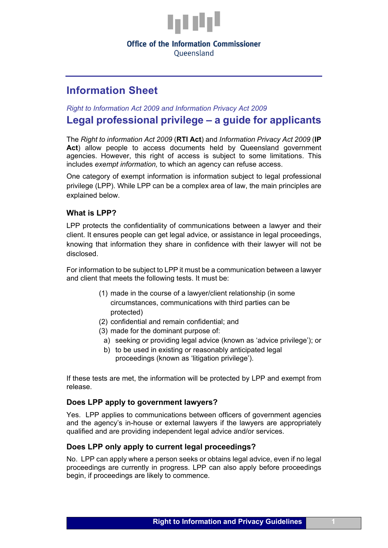

### **Office of the Information Commissioner**

Oueensland

# **Information Sheet**

*Right to Information Act 2009 and Information Privacy Act 2009* 

# **Legal professional privilege – a guide for applicants**

The *Right to information Act 2009* (**RTI Act**) and *Information Privacy Act 2009* (**IP**  Act) allow people to access documents held by Queensland government agencies. However, this right of access is subject to some limitations. This includes *exempt information,* to which an agency can refuse access.

One category of exempt information is information subject to legal professional privilege (LPP). While LPP can be a complex area of law, the main principles are explained below.

### **What is LPP?**

LPP protects the confidentiality of communications between a lawyer and their client. It ensures people can get legal advice, or assistance in legal proceedings, knowing that information they share in confidence with their lawyer will not be disclosed.

For information to be subject to LPP it must be a communication between a lawyer and client that meets the following tests. It must be:

- (1) made in the course of a lawyer/client relationship (in some circumstances, communications with third parties can be protected)
- (2) confidential and remain confidential; and
- (3) made for the dominant purpose of:
	- a) seeking or providing legal advice (known as 'advice privilege'); or
	- b) to be used in existing or reasonably anticipated legal proceedings (known as 'litigation privilege').

If these tests are met, the information will be protected by LPP and exempt from release.

#### **Does LPP apply to government lawyers?**

Yes. LPP applies to communications between officers of government agencies and the agency's in-house or external lawyers if the lawyers are appropriately qualified and are providing independent legal advice and/or services.

#### **Does LPP only apply to current legal proceedings?**

No. LPP can apply where a person seeks or obtains legal advice, even if no legal proceedings are currently in progress. LPP can also apply before proceedings begin, if proceedings are likely to commence.